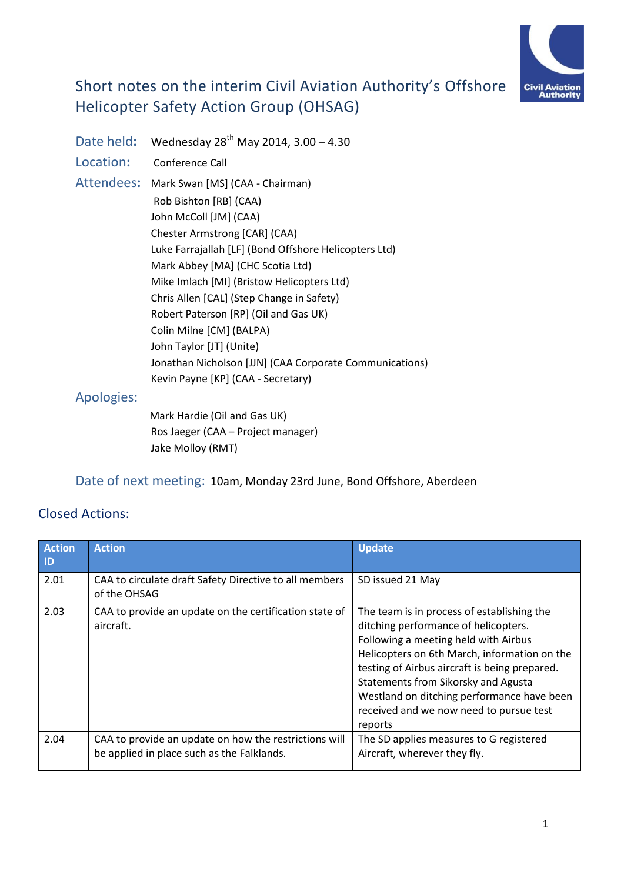

# Short notes on the interim Civil Aviation Authority's Offshore Helicopter Safety Action Group (OHSAG)

Date held**:** Wednesday 28th May 2014, 3.00 – 4.30 Location**:** Conference Call Attendees**:** Mark Swan [MS] (CAA - Chairman) Rob Bishton [RB] (CAA) John McColl [JM] (CAA) Chester Armstrong [CAR] (CAA) Luke Farrajallah [LF] (Bond Offshore Helicopters Ltd) Mark Abbey [MA] (CHC Scotia Ltd) Mike Imlach [MI] (Bristow Helicopters Ltd) Chris Allen [CAL] (Step Change in Safety) Robert Paterson [RP] (Oil and Gas UK) Colin Milne [CM] (BALPA) John Taylor [JT] (Unite) Jonathan Nicholson [JJN] (CAA Corporate Communications) Kevin Payne [KP] (CAA - Secretary)

## Apologies:

Mark Hardie (Oil and Gas UK) Ros Jaeger (CAA – Project manager) Jake Molloy (RMT)

Date of next meeting:10am, Monday 23rd June, Bond Offshore, Aberdeen

# Closed Actions:

| <b>Action</b><br>ID | <b>Action</b>                                                                                       | <b>Update</b>                                                                                                                                                                                                                                                                                                                                                          |
|---------------------|-----------------------------------------------------------------------------------------------------|------------------------------------------------------------------------------------------------------------------------------------------------------------------------------------------------------------------------------------------------------------------------------------------------------------------------------------------------------------------------|
| 2.01                | CAA to circulate draft Safety Directive to all members<br>of the OHSAG                              | SD issued 21 May                                                                                                                                                                                                                                                                                                                                                       |
| 2.03                | CAA to provide an update on the certification state of<br>aircraft.                                 | The team is in process of establishing the<br>ditching performance of helicopters.<br>Following a meeting held with Airbus<br>Helicopters on 6th March, information on the<br>testing of Airbus aircraft is being prepared.<br>Statements from Sikorsky and Agusta<br>Westland on ditching performance have been<br>received and we now need to pursue test<br>reports |
| 2.04                | CAA to provide an update on how the restrictions will<br>be applied in place such as the Falklands. | The SD applies measures to G registered<br>Aircraft, wherever they fly.                                                                                                                                                                                                                                                                                                |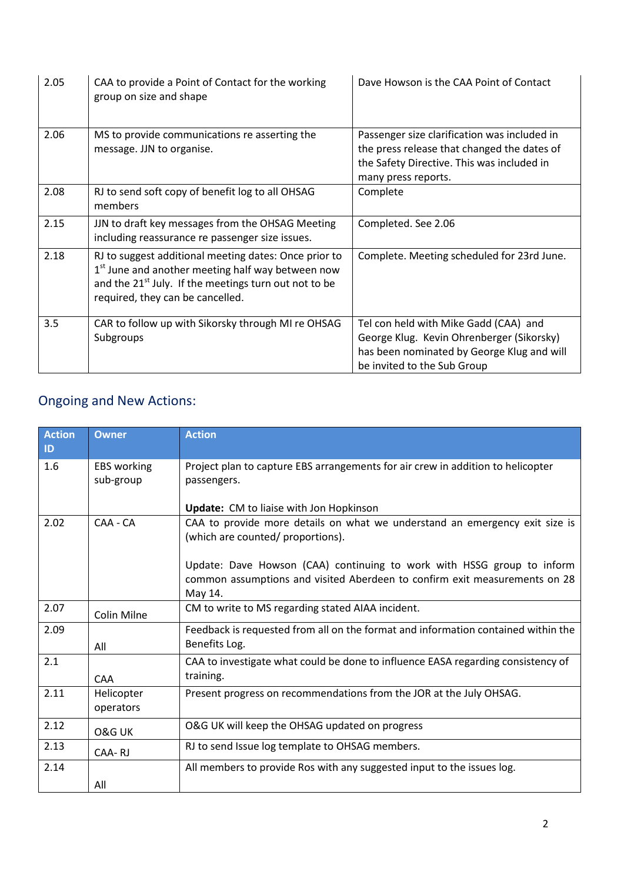| 2.05 | CAA to provide a Point of Contact for the working<br>group on size and shape                                                                                                                                                    | Dave Howson is the CAA Point of Contact                                                                                                                          |
|------|---------------------------------------------------------------------------------------------------------------------------------------------------------------------------------------------------------------------------------|------------------------------------------------------------------------------------------------------------------------------------------------------------------|
| 2.06 | MS to provide communications re asserting the<br>message. JJN to organise.                                                                                                                                                      | Passenger size clarification was included in<br>the press release that changed the dates of<br>the Safety Directive. This was included in<br>many press reports. |
| 2.08 | RJ to send soft copy of benefit log to all OHSAG<br>members                                                                                                                                                                     | Complete                                                                                                                                                         |
| 2.15 | JJN to draft key messages from the OHSAG Meeting<br>including reassurance re passenger size issues.                                                                                                                             | Completed. See 2.06                                                                                                                                              |
| 2.18 | RJ to suggest additional meeting dates: Once prior to<br>1 <sup>st</sup> June and another meeting half way between now<br>and the 21 <sup>st</sup> July. If the meetings turn out not to be<br>required, they can be cancelled. | Complete. Meeting scheduled for 23rd June.                                                                                                                       |
| 3.5  | CAR to follow up with Sikorsky through MI re OHSAG<br>Subgroups                                                                                                                                                                 | Tel con held with Mike Gadd (CAA) and<br>George Klug. Kevin Ohrenberger (Sikorsky)<br>has been nominated by George Klug and will<br>be invited to the Sub Group  |

# Ongoing and New Actions:

| <b>Action</b><br>ID | <b>Owner</b>                    | <b>Action</b>                                                                                                                                                   |
|---------------------|---------------------------------|-----------------------------------------------------------------------------------------------------------------------------------------------------------------|
| 1.6                 | <b>EBS</b> working<br>sub-group | Project plan to capture EBS arrangements for air crew in addition to helicopter<br>passengers.                                                                  |
|                     |                                 | <b>Update:</b> CM to liaise with Jon Hopkinson                                                                                                                  |
| 2.02                | CAA - CA                        | CAA to provide more details on what we understand an emergency exit size is<br>(which are counted/ proportions).                                                |
|                     |                                 | Update: Dave Howson (CAA) continuing to work with HSSG group to inform<br>common assumptions and visited Aberdeen to confirm exit measurements on 28<br>May 14. |
| 2.07                | Colin Milne                     | CM to write to MS regarding stated AIAA incident.                                                                                                               |
| 2.09                | All                             | Feedback is requested from all on the format and information contained within the<br>Benefits Log.                                                              |
| 2.1                 | <b>CAA</b>                      | CAA to investigate what could be done to influence EASA regarding consistency of<br>training.                                                                   |
| 2.11                | Helicopter<br>operators         | Present progress on recommendations from the JOR at the July OHSAG.                                                                                             |
| 2.12                | O&G UK                          | O&G UK will keep the OHSAG updated on progress                                                                                                                  |
| 2.13                | CAA-RJ                          | RJ to send Issue log template to OHSAG members.                                                                                                                 |
| 2.14                |                                 | All members to provide Ros with any suggested input to the issues log.                                                                                          |
|                     | All                             |                                                                                                                                                                 |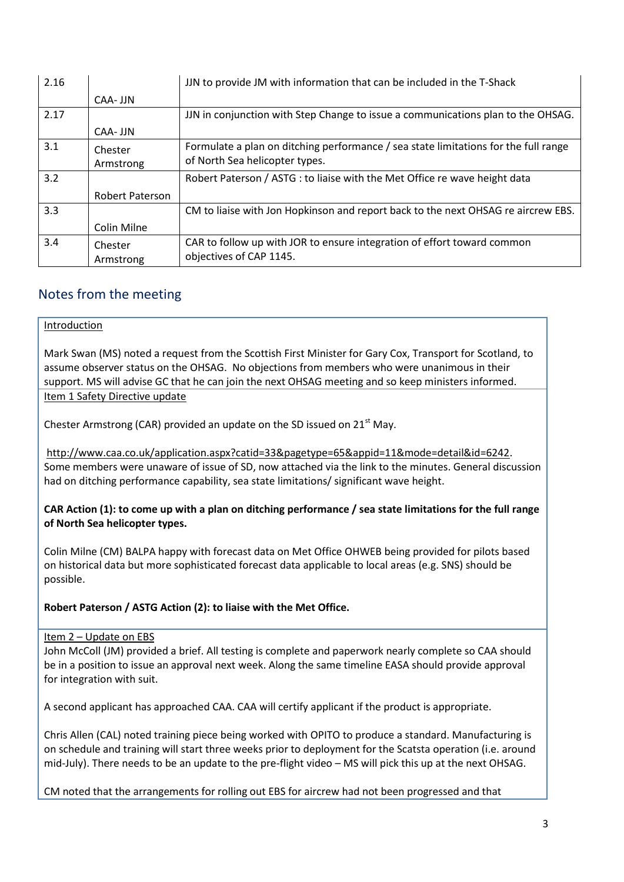| 2.16 |                        | JJN to provide JM with information that can be included in the T-Shack              |
|------|------------------------|-------------------------------------------------------------------------------------|
|      | CAA- JJN               |                                                                                     |
| 2.17 |                        | JJN in conjunction with Step Change to issue a communications plan to the OHSAG.    |
|      | CAA- JJN               |                                                                                     |
| 3.1  | Chester                | Formulate a plan on ditching performance / sea state limitations for the full range |
|      | Armstrong              | of North Sea helicopter types.                                                      |
| 3.2  |                        | Robert Paterson / ASTG : to liaise with the Met Office re wave height data          |
|      | <b>Robert Paterson</b> |                                                                                     |
| 3.3  |                        | CM to liaise with Jon Hopkinson and report back to the next OHSAG re aircrew EBS.   |
|      | Colin Milne            |                                                                                     |
| 3.4  | Chester                | CAR to follow up with JOR to ensure integration of effort toward common             |
|      | Armstrong              | objectives of CAP 1145.                                                             |

# Notes from the meeting

#### Introduction

Mark Swan (MS) noted a request from the Scottish First Minister for Gary Cox, Transport for Scotland, to assume observer status on the OHSAG. No objections from members who were unanimous in their support. MS will advise GC that he can join the next OHSAG meeting and so keep ministers informed.

Item 1 Safety Directive update

Chester Armstrong (CAR) provided an update on the SD issued on  $21<sup>st</sup>$  May.

[http://www.caa.co.uk/application.aspx?catid=33&pagetype=65&appid=11&mode=detail&id=6242.](http://www.caa.co.uk/application.aspx?catid=33&pagetype=65&appid=11&mode=detail&id=6242) Some members were unaware of issue of SD, now attached via the link to the minutes. General discussion had on ditching performance capability, sea state limitations/ significant wave height.

**CAR Action (1): to come up with a plan on ditching performance / sea state limitations for the full range of North Sea helicopter types.**

Colin Milne (CM) BALPA happy with forecast data on Met Office OHWEB being provided for pilots based on historical data but more sophisticated forecast data applicable to local areas (e.g. SNS) should be possible.

**Robert Paterson / ASTG Action (2): to liaise with the Met Office.**

#### Item 2 – Update on EBS

John McColl (JM) provided a brief. All testing is complete and paperwork nearly complete so CAA should be in a position to issue an approval next week. Along the same timeline EASA should provide approval for integration with suit.

A second applicant has approached CAA. CAA will certify applicant if the product is appropriate.

Chris Allen (CAL) noted training piece being worked with OPITO to produce a standard. Manufacturing is on schedule and training will start three weeks prior to deployment for the Scatsta operation (i.e. around mid-July). There needs to be an update to the pre-flight video – MS will pick this up at the next OHSAG.

CM noted that the arrangements for rolling out EBS for aircrew had not been progressed and that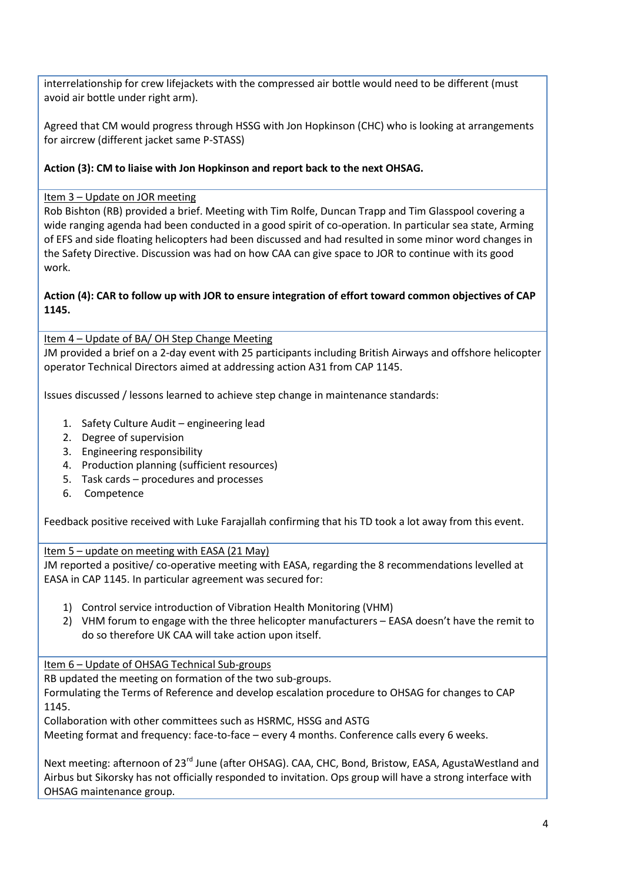interrelationship for crew lifejackets with the compressed air bottle would need to be different (must avoid air bottle under right arm).

Agreed that CM would progress through HSSG with Jon Hopkinson (CHC) who is looking at arrangements for aircrew (different jacket same P-STASS)

## **Action (3): CM to liaise with Jon Hopkinson and report back to the next OHSAG.**

### Item 3 – Update on JOR meeting

Rob Bishton (RB) provided a brief. Meeting with Tim Rolfe, Duncan Trapp and Tim Glasspool covering a wide ranging agenda had been conducted in a good spirit of co-operation. In particular sea state, Arming of EFS and side floating helicopters had been discussed and had resulted in some minor word changes in the Safety Directive. Discussion was had on how CAA can give space to JOR to continue with its good work.

### **Action (4): CAR to follow up with JOR to ensure integration of effort toward common objectives of CAP 1145.**

Item 4 – Update of BA/ OH Step Change Meeting

JM provided a brief on a 2-day event with 25 participants including British Airways and offshore helicopter operator Technical Directors aimed at addressing action A31 from CAP 1145.

Issues discussed / lessons learned to achieve step change in maintenance standards:

- 1. Safety Culture Audit engineering lead
- 2. Degree of supervision
- 3. Engineering responsibility
- 4. Production planning (sufficient resources)
- 5. Task cards procedures and processes
- 6. Competence

Feedback positive received with Luke Farajallah confirming that his TD took a lot away from this event.

Item 5 – update on meeting with EASA (21 May)

JM reported a positive/ co-operative meeting with EASA, regarding the 8 recommendations levelled at EASA in CAP 1145. In particular agreement was secured for:

- 1) Control service introduction of Vibration Health Monitoring (VHM)
- 2) VHM forum to engage with the three helicopter manufacturers EASA doesn't have the remit to do so therefore UK CAA will take action upon itself.

Item 6 – Update of OHSAG Technical Sub-groups

RB updated the meeting on formation of the two sub-groups.

Formulating the Terms of Reference and develop escalation procedure to OHSAG for changes to CAP 1145.

Collaboration with other committees such as HSRMC, HSSG and ASTG

Meeting format and frequency: face-to-face – every 4 months. Conference calls every 6 weeks.

Next meeting: afternoon of 23<sup>rd</sup> June (after OHSAG). CAA, CHC, Bond, Bristow, EASA, AgustaWestland and Airbus but Sikorsky has not officially responded to invitation. Ops group will have a strong interface with OHSAG maintenance group.